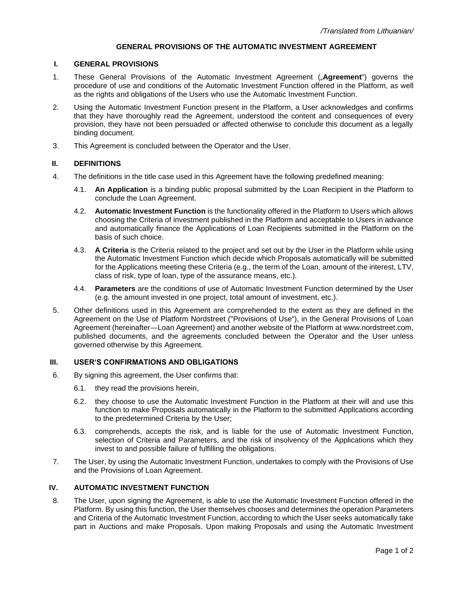# **GENERAL PROVISIONS OF THE AUTOMATIC INVESTMENT AGREEMENT**

#### **I. GENERAL PROVISIONS**

- 1. These General Provisions of the Automatic Investment Agreement ("**Agreement**") governs the procedure of use and conditions of the Automatic Investment Function offered in the Platform, as well as the rights and obligations of the Users who use the Automatic Investment Function.
- 2. Using the Automatic Investment Function present in the Platform, a User acknowledges and confirms that they have thoroughly read the Agreement, understood the content and consequences of every provision, they have not been persuaded or affected otherwise to conclude this document as a legally binding document.
- 3. This Agreement is concluded between the Operator and the User.

#### **II. DEFINITIONS**

- 4. The definitions in the title case used in this Agreement have the following predefined meaning:
	- 4.1. **An Application** is a binding public proposal submitted by the Loan Recipient in the Platform to conclude the Loan Agreement.
	- 4.2. **Automatic Investment Function** is the functionality offered in the Platform to Users which allows choosing the Criteria of investment published in the Platform and acceptable to Users in advance and automatically finance the Applications of Loan Recipients submitted in the Platform on the basis of such choice.
	- 4.3. **A Criteria** is the Criteria related to the project and set out by the User in the Platform while using the Automatic Investment Function which decide which Proposals automatically will be submitted for the Applications meeting these Criteria (e.g., the term of the Loan, amount of the interest, LTV, class of risk, type of loan, type of the assurance means, etc.).
	- 4.4. **Parameters** are the conditions of use of Automatic Investment Function determined by the User (e.g. the amount invested in one project, total amount of investment, etc.).
- 5. Other definitions used in this Agreement are comprehended to the extent as they are defined in the Agreement on the Use of Platform Nordstreet ("Provisions of Use"), in the General Provisions of Loan Agreement (hereinafter—Loan Agreement) and another website of the Platform at [www.nordstreet.c](http://www.nordstreet./)om, published documents, and the agreements concluded between the Operator and the User unless governed otherwise by this Agreement.

#### **III. USER'S CONFIRMATIONS AND OBLIGATIONS**

- 6. By signing this agreement, the User confirms that:
	- 6.1. they read the provisions herein,
	- 6.2. they choose to use the Automatic Investment Function in the Platform at their will and use this function to make Proposals automatically in the Platform to the submitted Applications according to the predetermined Criteria by the User;
	- 6.3. comprehends, accepts the risk, and is liable for the use of Automatic Investment Function, selection of Criteria and Parameters, and the risk of insolvency of the Applications which they invest to and possible failure of fulfilling the obligations.
- 7. The User, by using the Automatic Investment Function, undertakes to comply with the Provisions of Use and the Provisions of Loan Agreement.

## **IV. AUTOMATIC INVESTMENT FUNCTION**

8. The User, upon signing the Agreement, is able to use the Automatic Investment Function offered in the Platform. By using this function, the User themselves chooses and determines the operation Parameters and Criteria of the Automatic Investment Function, according to which the User seeks automatically take part in Auctions and make Proposals. Upon making Proposals and using the Automatic Investment